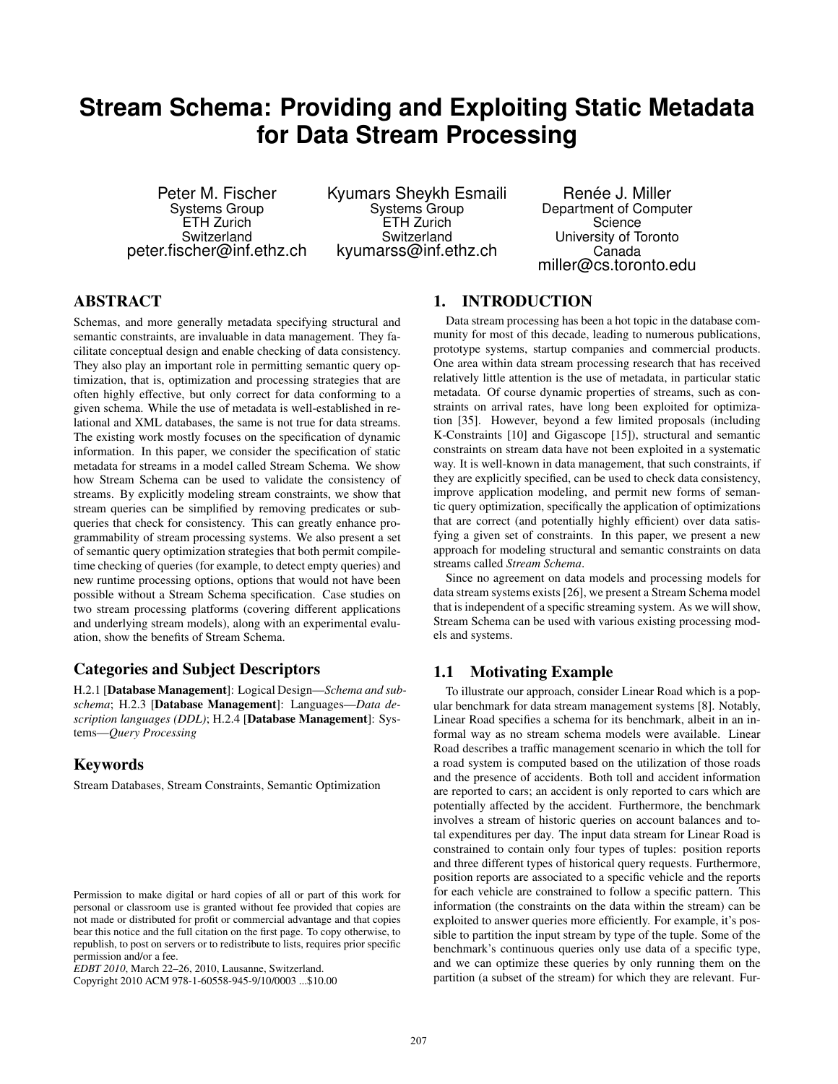# **Stream Schema: Providing and Exploiting Static Metadata for Data Stream Processing**

Peter M. Fischer Systems Group ETH Zurich Switzerland peter.fischer@inf.ethz.ch Kyumars Sheykh Esmaili Systems Group ETH Zurich Switzerland kyumarss@inf.ethz.ch

Renée J. Miller Department of Computer **Science** University of Toronto Canada miller@cs.toronto.edu

# ABSTRACT

Schemas, and more generally metadata specifying structural and semantic constraints, are invaluable in data management. They facilitate conceptual design and enable checking of data consistency. They also play an important role in permitting semantic query optimization, that is, optimization and processing strategies that are often highly effective, but only correct for data conforming to a given schema. While the use of metadata is well-established in relational and XML databases, the same is not true for data streams. The existing work mostly focuses on the specification of dynamic information. In this paper, we consider the specification of static metadata for streams in a model called Stream Schema. We show how Stream Schema can be used to validate the consistency of streams. By explicitly modeling stream constraints, we show that stream queries can be simplified by removing predicates or subqueries that check for consistency. This can greatly enhance programmability of stream processing systems. We also present a set of semantic query optimization strategies that both permit compiletime checking of queries (for example, to detect empty queries) and new runtime processing options, options that would not have been possible without a Stream Schema specification. Case studies on two stream processing platforms (covering different applications and underlying stream models), along with an experimental evaluation, show the benefits of Stream Schema.

# Categories and Subject Descriptors

H.2.1 [Database Management]: Logical Design—*Schema and subschema*; H.2.3 [Database Management]: Languages—*Data description languages (DDL)*; H.2.4 [Database Management]: Systems—*Query Processing*

# Keywords

Stream Databases, Stream Constraints, Semantic Optimization

# 1. INTRODUCTION

Data stream processing has been a hot topic in the database community for most of this decade, leading to numerous publications, prototype systems, startup companies and commercial products. One area within data stream processing research that has received relatively little attention is the use of metadata, in particular static metadata. Of course dynamic properties of streams, such as constraints on arrival rates, have long been exploited for optimization [35]. However, beyond a few limited proposals (including K-Constraints [10] and Gigascope [15]), structural and semantic constraints on stream data have not been exploited in a systematic way. It is well-known in data management, that such constraints, if they are explicitly specified, can be used to check data consistency, improve application modeling, and permit new forms of semantic query optimization, specifically the application of optimizations that are correct (and potentially highly efficient) over data satisfying a given set of constraints. In this paper, we present a new approach for modeling structural and semantic constraints on data streams called *Stream Schema*.

Since no agreement on data models and processing models for data stream systems exists [26], we present a Stream Schema model that is independent of a specific streaming system. As we will show, Stream Schema can be used with various existing processing models and systems.

### 1.1 Motivating Example

To illustrate our approach, consider Linear Road which is a popular benchmark for data stream management systems [8]. Notably, Linear Road specifies a schema for its benchmark, albeit in an informal way as no stream schema models were available. Linear Road describes a traffic management scenario in which the toll for a road system is computed based on the utilization of those roads and the presence of accidents. Both toll and accident information are reported to cars; an accident is only reported to cars which are potentially affected by the accident. Furthermore, the benchmark involves a stream of historic queries on account balances and total expenditures per day. The input data stream for Linear Road is constrained to contain only four types of tuples: position reports and three different types of historical query requests. Furthermore, position reports are associated to a specific vehicle and the reports for each vehicle are constrained to follow a specific pattern. This information (the constraints on the data within the stream) can be exploited to answer queries more efficiently. For example, it's possible to partition the input stream by type of the tuple. Some of the benchmark's continuous queries only use data of a specific type, and we can optimize these queries by only running them on the partition (a subset of the stream) for which they are relevant. Fur-

Permission to make digital or hard copies of all or part of this work for personal or classroom use is granted without fee provided that copies are not made or distributed for profit or commercial advantage and that copies bear this notice and the full citation on the first page. To copy otherwise, to republish, to post on servers or to redistribute to lists, requires prior specific permission and/or a fee.

*EDBT 2010*, March 22–26, 2010, Lausanne, Switzerland.

Copyright 2010 ACM 978-1-60558-945-9/10/0003 ...\$10.00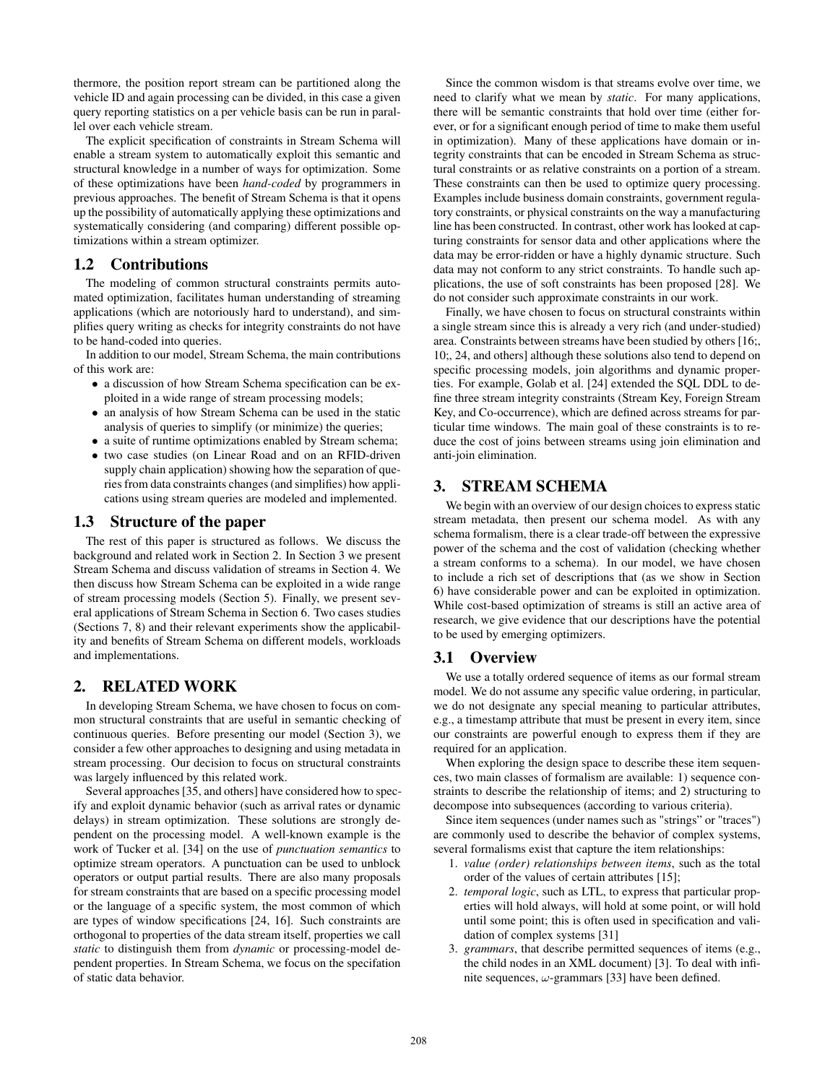thermore, the position report stream can be partitioned along the vehicle ID and again processing can be divided, in this case a given query reporting statistics on a per vehicle basis can be run in parallel over each vehicle stream.

The explicit specification of constraints in Stream Schema will enable a stream system to automatically exploit this semantic and structural knowledge in a number of ways for optimization. Some of these optimizations have been *hand-coded* by programmers in previous approaches. The benefit of Stream Schema is that it opens up the possibility of automatically applying these optimizations and systematically considering (and comparing) different possible optimizations within a stream optimizer.

# 1.2 Contributions

The modeling of common structural constraints permits automated optimization, facilitates human understanding of streaming applications (which are notoriously hard to understand), and simplifies query writing as checks for integrity constraints do not have to be hand-coded into queries.

In addition to our model, Stream Schema, the main contributions of this work are:

- a discussion of how Stream Schema specification can be exploited in a wide range of stream processing models;
- an analysis of how Stream Schema can be used in the static analysis of queries to simplify (or minimize) the queries;
- a suite of runtime optimizations enabled by Stream schema;
- two case studies (on Linear Road and on an RFID-driven supply chain application) showing how the separation of queries from data constraints changes (and simplifies) how applications using stream queries are modeled and implemented.

### 1.3 Structure of the paper

The rest of this paper is structured as follows. We discuss the background and related work in Section 2. In Section 3 we present Stream Schema and discuss validation of streams in Section 4. We then discuss how Stream Schema can be exploited in a wide range of stream processing models (Section 5). Finally, we present several applications of Stream Schema in Section 6. Two cases studies (Sections 7, 8) and their relevant experiments show the applicability and benefits of Stream Schema on different models, workloads and implementations.

# 2. RELATED WORK

In developing Stream Schema, we have chosen to focus on common structural constraints that are useful in semantic checking of continuous queries. Before presenting our model (Section 3), we consider a few other approaches to designing and using metadata in stream processing. Our decision to focus on structural constraints was largely influenced by this related work.

Several approaches [35, and others] have considered how to specify and exploit dynamic behavior (such as arrival rates or dynamic delays) in stream optimization. These solutions are strongly dependent on the processing model. A well-known example is the work of Tucker et al. [34] on the use of *punctuation semantics* to optimize stream operators. A punctuation can be used to unblock operators or output partial results. There are also many proposals for stream constraints that are based on a specific processing model or the language of a specific system, the most common of which are types of window specifications [24, 16]. Such constraints are orthogonal to properties of the data stream itself, properties we call *static* to distinguish them from *dynamic* or processing-model dependent properties. In Stream Schema, we focus on the specifation of static data behavior.

Since the common wisdom is that streams evolve over time, we need to clarify what we mean by *static*. For many applications, there will be semantic constraints that hold over time (either forever, or for a significant enough period of time to make them useful in optimization). Many of these applications have domain or integrity constraints that can be encoded in Stream Schema as structural constraints or as relative constraints on a portion of a stream. These constraints can then be used to optimize query processing. Examples include business domain constraints, government regulatory constraints, or physical constraints on the way a manufacturing line has been constructed. In contrast, other work has looked at capturing constraints for sensor data and other applications where the data may be error-ridden or have a highly dynamic structure. Such data may not conform to any strict constraints. To handle such applications, the use of soft constraints has been proposed [28]. We do not consider such approximate constraints in our work.

Finally, we have chosen to focus on structural constraints within a single stream since this is already a very rich (and under-studied) area. Constraints between streams have been studied by others [16;, 10;, 24, and others] although these solutions also tend to depend on specific processing models, join algorithms and dynamic properties. For example, Golab et al. [24] extended the SQL DDL to define three stream integrity constraints (Stream Key, Foreign Stream Key, and Co-occurrence), which are defined across streams for particular time windows. The main goal of these constraints is to reduce the cost of joins between streams using join elimination and anti-join elimination.

# 3. STREAM SCHEMA

We begin with an overview of our design choices to express static stream metadata, then present our schema model. As with any schema formalism, there is a clear trade-off between the expressive power of the schema and the cost of validation (checking whether a stream conforms to a schema). In our model, we have chosen to include a rich set of descriptions that (as we show in Section 6) have considerable power and can be exploited in optimization. While cost-based optimization of streams is still an active area of research, we give evidence that our descriptions have the potential to be used by emerging optimizers.

## 3.1 Overview

We use a totally ordered sequence of items as our formal stream model. We do not assume any specific value ordering, in particular, we do not designate any special meaning to particular attributes, e.g., a timestamp attribute that must be present in every item, since our constraints are powerful enough to express them if they are required for an application.

When exploring the design space to describe these item sequences, two main classes of formalism are available: 1) sequence constraints to describe the relationship of items; and 2) structuring to decompose into subsequences (according to various criteria).

Since item sequences (under names such as "strings" or "traces") are commonly used to describe the behavior of complex systems, several formalisms exist that capture the item relationships:

- 1. *value (order) relationships between items*, such as the total order of the values of certain attributes [15];
- 2. *temporal logic*, such as LTL, to express that particular properties will hold always, will hold at some point, or will hold until some point; this is often used in specification and validation of complex systems [31]
- 3. *grammars*, that describe permitted sequences of items (e.g., the child nodes in an XML document) [3]. To deal with infinite sequences,  $\omega$ -grammars [33] have been defined.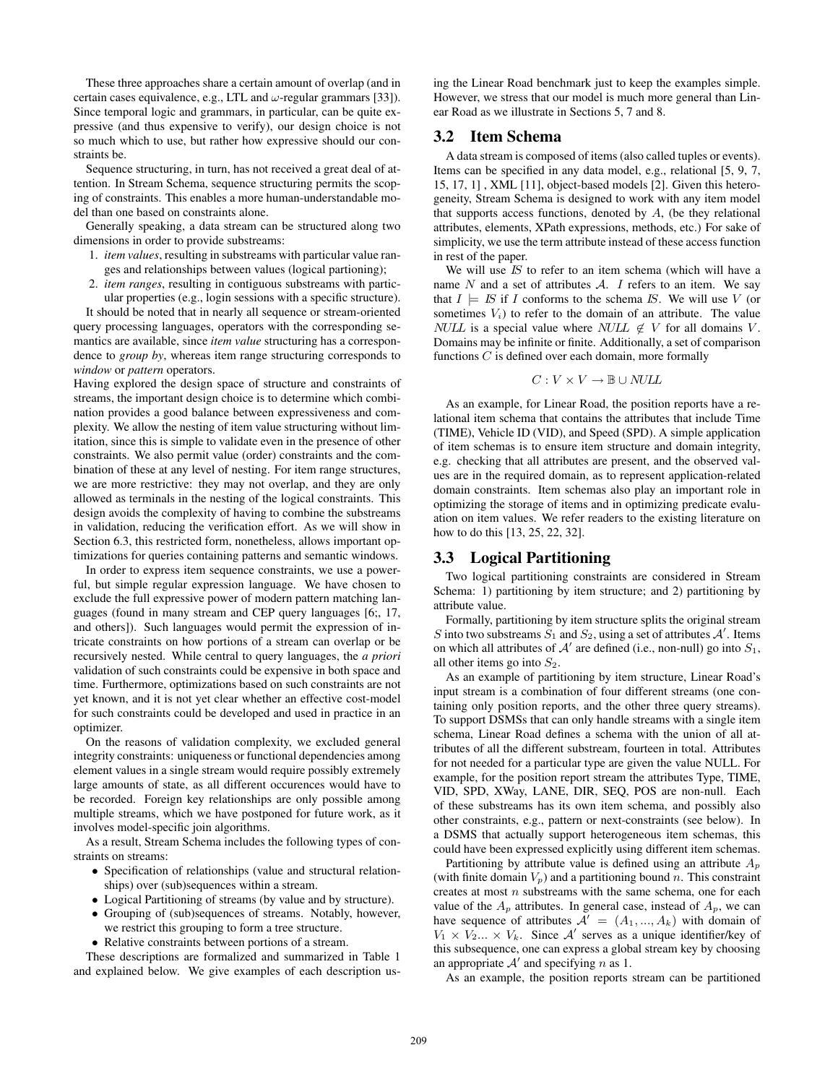These three approaches share a certain amount of overlap (and in certain cases equivalence, e.g., LTL and  $\omega$ -regular grammars [33]). Since temporal logic and grammars, in particular, can be quite expressive (and thus expensive to verify), our design choice is not so much which to use, but rather how expressive should our constraints be.

Sequence structuring, in turn, has not received a great deal of attention. In Stream Schema, sequence structuring permits the scoping of constraints. This enables a more human-understandable model than one based on constraints alone.

Generally speaking, a data stream can be structured along two dimensions in order to provide substreams:

- 1. *item values*, resulting in substreams with particular value ranges and relationships between values (logical partioning);
- 2. *item ranges*, resulting in contiguous substreams with particular properties (e.g., login sessions with a specific structure).

It should be noted that in nearly all sequence or stream-oriented query processing languages, operators with the corresponding semantics are available, since *item value* structuring has a correspondence to *group by*, whereas item range structuring corresponds to *window* or *pattern* operators.

Having explored the design space of structure and constraints of streams, the important design choice is to determine which combination provides a good balance between expressiveness and complexity. We allow the nesting of item value structuring without limitation, since this is simple to validate even in the presence of other constraints. We also permit value (order) constraints and the combination of these at any level of nesting. For item range structures, we are more restrictive: they may not overlap, and they are only allowed as terminals in the nesting of the logical constraints. This design avoids the complexity of having to combine the substreams in validation, reducing the verification effort. As we will show in Section 6.3, this restricted form, nonetheless, allows important optimizations for queries containing patterns and semantic windows.

In order to express item sequence constraints, we use a powerful, but simple regular expression language. We have chosen to exclude the full expressive power of modern pattern matching languages (found in many stream and CEP query languages [6;, 17, and others]). Such languages would permit the expression of intricate constraints on how portions of a stream can overlap or be recursively nested. While central to query languages, the *a priori* validation of such constraints could be expensive in both space and time. Furthermore, optimizations based on such constraints are not yet known, and it is not yet clear whether an effective cost-model for such constraints could be developed and used in practice in an optimizer.

On the reasons of validation complexity, we excluded general integrity constraints: uniqueness or functional dependencies among element values in a single stream would require possibly extremely large amounts of state, as all different occurences would have to be recorded. Foreign key relationships are only possible among multiple streams, which we have postponed for future work, as it involves model-specific join algorithms.

As a result, Stream Schema includes the following types of constraints on streams:

- Specification of relationships (value and structural relationships) over (sub)sequences within a stream.
- Logical Partitioning of streams (by value and by structure).
- Grouping of (sub)sequences of streams. Notably, however, we restrict this grouping to form a tree structure.
- Relative constraints between portions of a stream.

These descriptions are formalized and summarized in Table 1 and explained below. We give examples of each description using the Linear Road benchmark just to keep the examples simple. However, we stress that our model is much more general than Linear Road as we illustrate in Sections 5, 7 and 8.

#### 3.2 Item Schema

A data stream is composed of items (also called tuples or events). Items can be specified in any data model, e.g., relational [5, 9, 7, 15, 17, 1] , XML [11], object-based models [2]. Given this heterogeneity, Stream Schema is designed to work with any item model that supports access functions, denoted by  $A$ , (be they relational attributes, elements, XPath expressions, methods, etc.) For sake of simplicity, we use the term attribute instead of these access function in rest of the paper.

We will use  $IS$  to refer to an item schema (which will have a name  $N$  and a set of attributes  $A$ .  $I$  refers to an item. We say that  $I \models \text{IS}$  if I conforms to the schema IS. We will use V (or sometimes  $V_i$ ) to refer to the domain of an attribute. The value *NULL* is a special value where *NULL*  $\notin$  *V* for all domains *V*. Domains may be infinite or finite. Additionally, a set of comparison functions C is defined over each domain, more formally

$$
C: V \times V \rightarrow \mathbb{B} \cup \mathit{NULL}
$$

As an example, for Linear Road, the position reports have a relational item schema that contains the attributes that include Time (TIME), Vehicle ID (VID), and Speed (SPD). A simple application of item schemas is to ensure item structure and domain integrity, e.g. checking that all attributes are present, and the observed values are in the required domain, as to represent application-related domain constraints. Item schemas also play an important role in optimizing the storage of items and in optimizing predicate evaluation on item values. We refer readers to the existing literature on how to do this [13, 25, 22, 32].

#### 3.3 Logical Partitioning

Two logical partitioning constraints are considered in Stream Schema: 1) partitioning by item structure; and 2) partitioning by attribute value.

Formally, partitioning by item structure splits the original stream S into two substreams  $S_1$  and  $S_2$ , using a set of attributes  $A'$ . Items on which all attributes of  $A'$  are defined (i.e., non-null) go into  $S_1$ , all other items go into  $S_2$ .

As an example of partitioning by item structure, Linear Road's input stream is a combination of four different streams (one containing only position reports, and the other three query streams). To support DSMSs that can only handle streams with a single item schema, Linear Road defines a schema with the union of all attributes of all the different substream, fourteen in total. Attributes for not needed for a particular type are given the value NULL. For example, for the position report stream the attributes Type, TIME, VID, SPD, XWay, LANE, DIR, SEQ, POS are non-null. Each of these substreams has its own item schema, and possibly also other constraints, e.g., pattern or next-constraints (see below). In a DSMS that actually support heterogeneous item schemas, this could have been expressed explicitly using different item schemas.

Partitioning by attribute value is defined using an attribute  $A_p$ (with finite domain  $V_p$ ) and a partitioning bound n. This constraint creates at most  $n$  substreams with the same schema, one for each value of the  $A_p$  attributes. In general case, instead of  $A_p$ , we can have sequence of attributes  $A' = (A_1, ..., A_k)$  with domain of  $V_1 \times V_2 \dots \times V_k$ . Since A' serves as a unique identifier/key of this subsequence, one can express a global stream key by choosing an appropriate  $A'$  and specifying n as 1.

As an example, the position reports stream can be partitioned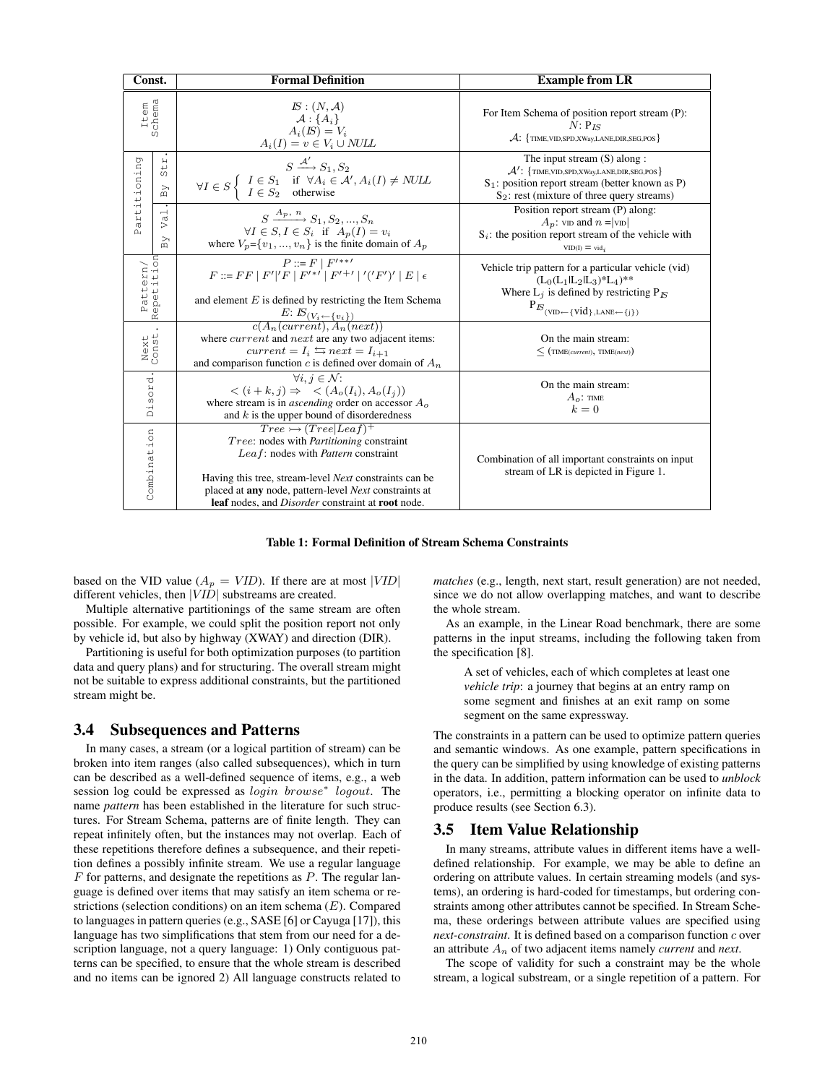| Const.                      |                                                                           | <b>Formal Definition</b>                                                                                                                                                                                                                                                                                         | <b>Example from LR</b>                                                                                                                                                                                |
|-----------------------------|---------------------------------------------------------------------------|------------------------------------------------------------------------------------------------------------------------------------------------------------------------------------------------------------------------------------------------------------------------------------------------------------------|-------------------------------------------------------------------------------------------------------------------------------------------------------------------------------------------------------|
| Item                        |                                                                           | $IS: (N, \mathcal{A})$<br>$\mathcal{A}$ : { $A_i$ }<br>$A_i(\mathbf{K}) = V_i$<br>$A_i(I) = v \in V_i \cup NULL$                                                                                                                                                                                                 | For Item Schema of position report stream (P):<br>$N: P_{IS}$<br>$\mathcal{A}$ : {TIME, VID, SPD, XWay, LANE, DIR, SEG, POS}                                                                          |
| artitioning<br>$\mathbf{a}$ | $\overline{\mathsf{H}}$<br>$\overline{5}$<br>$\triangleright$<br>$\omega$ | $S \xrightarrow{\mathcal{A}'} S_1, S_2$<br>$\forall I \in S \left\{ \begin{array}{ll} I \in S_1 & \text{if} \;\; \forall A_i \in \mathcal{A}', A_i(I) \neq \textit{NULL} \\ I \in S_2 & \text{otherwise} \end{array} \right.$                                                                                    | The input stream $(S)$ along :<br>$\mathcal{A}'$ : {TIME, VID, SPD, XWay, LANE, DIR, SEG, POS}<br>$S_1$ : position report stream (better known as P)<br>$S_2$ : rest (mixture of three query streams) |
|                             | $\overline{\phantom{0}}$<br>ya<br>$\mathbb{B}\mathbf{Y}$                  | $S \xrightarrow{A_p, n} S_1, S_2, , S_n$<br>$\forall I \in S, I \in S_i$ if $A_p(I) = v_i$<br>where $V_p = \{v_1, , v_n\}$ is the finite domain of $A_p$                                                                                                                                                         | Position report stream (P) along:<br>$A_p$ : vid and $n =  v_D $<br>$S_i$ : the position report stream of the vehicle with<br>$VID(I) = vid_i$                                                        |
| Pattern/<br>Repetition      |                                                                           | $P ::= F   F'^{**}$<br>$F ::= FF   F' 'F   F'^{**}   F'^{+'}   '('F')'   E   \epsilon$<br>and element $E$ is defined by restricting the Item Schema<br>$\frac{E: \mathbb{E}(V_i \leftarrow \{v_i\})}{c(A_n(current), A_n(next))}$                                                                                | Vehicle trip pattern for a particular vehicle (vid)<br>$(L_0(L_1 L_2 L_3)*L_4)**$<br>Where $L_i$ is defined by restricting $P_E$<br>$P_{K}$ (VID $\leftarrow$ {VId}, LANE $\leftarrow$ {j})           |
| Next.<br>Const.             |                                                                           | where <i>current</i> and <i>next</i> are any two adjacent items:<br>$current = I_i \leftrightarrows next = I_{i+1}$<br>and comparison function c is defined over domain of $A_n$                                                                                                                                 | On the main stream:<br>$\leq$ (TIME(current), TIME(next))                                                                                                                                             |
| sord.<br>Ėq                 |                                                                           | $\forall i, j \in \mathcal{N}$ :<br>$\langle (i+k,j) \Rightarrow \langle (A_o(I_i), A_o(I_j)) \rangle$<br>where stream is in <i>ascending</i> order on accessor $A_0$<br>and $k$ is the upper bound of disorderedness                                                                                            | On the main stream:<br>$A_o$ : TIME<br>$k=0$                                                                                                                                                          |
| Combination                 |                                                                           | $Tree \rightarrow (Tree Leaf)^+$<br>Tree: nodes with Partitioning constraint<br>Leaf: nodes with Pattern constraint<br>Having this tree, stream-level <i>Next</i> constraints can be<br>placed at any node, pattern-level Next constraints at<br>leaf nodes, and <i>Disorder</i> constraint at <b>root</b> node. | Combination of all important constraints on input<br>stream of LR is depicted in Figure 1.                                                                                                            |

Table 1: Formal Definition of Stream Schema Constraints

based on the VID value ( $A_p = VID$ ). If there are at most |VID| different vehicles, then |VID| substreams are created.

Multiple alternative partitionings of the same stream are often possible. For example, we could split the position report not only by vehicle id, but also by highway (XWAY) and direction (DIR).

Partitioning is useful for both optimization purposes (to partition data and query plans) and for structuring. The overall stream might not be suitable to express additional constraints, but the partitioned stream might be.

#### 3.4 Subsequences and Patterns

In many cases, a stream (or a logical partition of stream) can be broken into item ranges (also called subsequences), which in turn can be described as a well-defined sequence of items, e.g., a web session log could be expressed as login browse<sup>∗</sup> logout. The name *pattern* has been established in the literature for such structures. For Stream Schema, patterns are of finite length. They can repeat infinitely often, but the instances may not overlap. Each of these repetitions therefore defines a subsequence, and their repetition defines a possibly infinite stream. We use a regular language  $F$  for patterns, and designate the repetitions as  $P$ . The regular language is defined over items that may satisfy an item schema or restrictions (selection conditions) on an item schema  $(E)$ . Compared to languages in pattern queries (e.g., SASE [6] or Cayuga [17]), this language has two simplifications that stem from our need for a description language, not a query language: 1) Only contiguous patterns can be specified, to ensure that the whole stream is described and no items can be ignored 2) All language constructs related to

*matches* (e.g., length, next start, result generation) are not needed, since we do not allow overlapping matches, and want to describe the whole stream.

As an example, in the Linear Road benchmark, there are some patterns in the input streams, including the following taken from the specification [8].

A set of vehicles, each of which completes at least one *vehicle trip*: a journey that begins at an entry ramp on some segment and finishes at an exit ramp on some segment on the same expressway.

The constraints in a pattern can be used to optimize pattern queries and semantic windows. As one example, pattern specifications in the query can be simplified by using knowledge of existing patterns in the data. In addition, pattern information can be used to *unblock* operators, i.e., permitting a blocking operator on infinite data to produce results (see Section 6.3).

#### 3.5 Item Value Relationship

In many streams, attribute values in different items have a welldefined relationship. For example, we may be able to define an ordering on attribute values. In certain streaming models (and systems), an ordering is hard-coded for timestamps, but ordering constraints among other attributes cannot be specified. In Stream Schema, these orderings between attribute values are specified using *next-constraint*. It is defined based on a comparison function c over an attribute A<sup>n</sup> of two adjacent items namely *current* and *next*.

The scope of validity for such a constraint may be the whole stream, a logical substream, or a single repetition of a pattern. For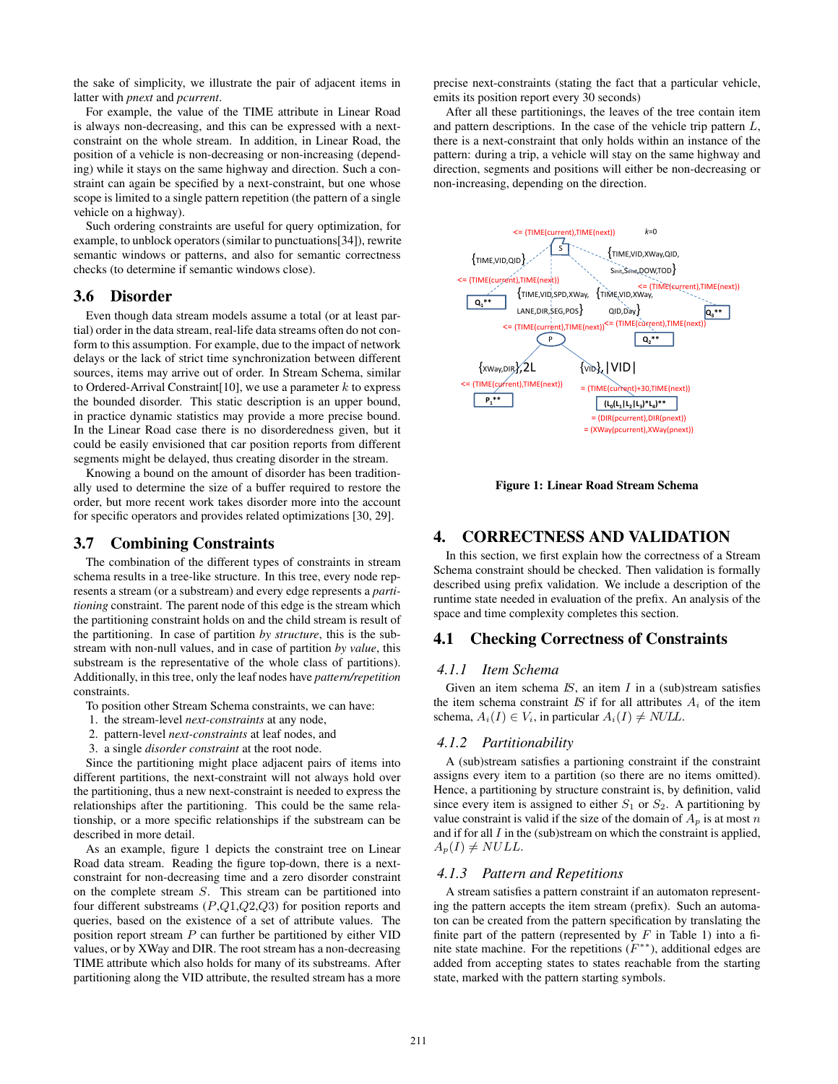the sake of simplicity, we illustrate the pair of adjacent items in latter with *pnext* and *pcurrent*.

For example, the value of the TIME attribute in Linear Road is always non-decreasing, and this can be expressed with a nextconstraint on the whole stream. In addition, in Linear Road, the position of a vehicle is non-decreasing or non-increasing (depending) while it stays on the same highway and direction. Such a constraint can again be specified by a next-constraint, but one whose scope is limited to a single pattern repetition (the pattern of a single vehicle on a highway).

Such ordering constraints are useful for query optimization, for example, to unblock operators (similar to punctuations[34]), rewrite semantic windows or patterns, and also for semantic correctness checks (to determine if semantic windows close).

### 3.6 Disorder

Even though data stream models assume a total (or at least partial) order in the data stream, real-life data streams often do not conform to this assumption. For example, due to the impact of network delays or the lack of strict time synchronization between different sources, items may arrive out of order. In Stream Schema, similar to Ordered-Arrival Constraint [10], we use a parameter  $k$  to express the bounded disorder. This static description is an upper bound, in practice dynamic statistics may provide a more precise bound. In the Linear Road case there is no disorderedness given, but it could be easily envisioned that car position reports from different segments might be delayed, thus creating disorder in the stream.

Knowing a bound on the amount of disorder has been traditionally used to determine the size of a buffer required to restore the order, but more recent work takes disorder more into the account for specific operators and provides related optimizations [30, 29].

# 3.7 Combining Constraints

The combination of the different types of constraints in stream schema results in a tree-like structure. In this tree, every node represents a stream (or a substream) and every edge represents a *partitioning* constraint. The parent node of this edge is the stream which the partitioning constraint holds on and the child stream is result of the partitioning. In case of partition *by structure*, this is the substream with non-null values, and in case of partition *by value*, this substream is the representative of the whole class of partitions). Additionally, in this tree, only the leaf nodes have *pattern/repetition* constraints.

To position other Stream Schema constraints, we can have:

- 1. the stream-level *next-constraints* at any node,
- 2. pattern-level *next-constraints* at leaf nodes, and
- 3. a single *disorder constraint* at the root node.

Since the partitioning might place adjacent pairs of items into different partitions, the next-constraint will not always hold over the partitioning, thus a new next-constraint is needed to express the relationships after the partitioning. This could be the same relationship, or a more specific relationships if the substream can be described in more detail.

As an example, figure 1 depicts the constraint tree on Linear Road data stream. Reading the figure top-down, there is a nextconstraint for non-decreasing time and a zero disorder constraint on the complete stream S. This stream can be partitioned into four different substreams  $(P,Q1,Q2,Q3)$  for position reports and queries, based on the existence of a set of attribute values. The position report stream  $P$  can further be partitioned by either VID values, or by XWay and DIR. The root stream has a non-decreasing TIME attribute which also holds for many of its substreams. After partitioning along the VID attribute, the resulted stream has a more precise next-constraints (stating the fact that a particular vehicle, emits its position report every 30 seconds)

After all these partitionings, the leaves of the tree contain item and pattern descriptions. In the case of the vehicle trip pattern  $L$ , there is a next-constraint that only holds within an instance of the pattern: during a trip, a vehicle will stay on the same highway and direction, segments and positions will either be non-decreasing or non-increasing, depending on the direction.



Figure 1: Linear Road Stream Schema

# 4. CORRECTNESS AND VALIDATION

In this section, we first explain how the correctness of a Stream Schema constraint should be checked. Then validation is formally described using prefix validation. We include a description of the runtime state needed in evaluation of the prefix. An analysis of the space and time complexity completes this section.

#### 4.1 Checking Correctness of Constraints

#### *4.1.1 Item Schema*

Given an item schema  $IS$ , an item  $I$  in a (sub)stream satisfies the item schema constraint  $IS$  if for all attributes  $A_i$  of the item schema,  $A_i(I) \in V_i$ , in particular  $A_i(I) \neq NULL$ .

#### *4.1.2 Partitionability*

A (sub)stream satisfies a partioning constraint if the constraint assigns every item to a partition (so there are no items omitted). Hence, a partitioning by structure constraint is, by definition, valid since every item is assigned to either  $S_1$  or  $S_2$ . A partitioning by value constraint is valid if the size of the domain of  $A_p$  is at most n and if for all  $I$  in the (sub)stream on which the constraint is applied,  $A_p(I) \neq NULL.$ 

#### *4.1.3 Pattern and Repetitions*

A stream satisfies a pattern constraint if an automaton representing the pattern accepts the item stream (prefix). Such an automaton can be created from the pattern specification by translating the finite part of the pattern (represented by  $F$  in Table 1) into a finite state machine. For the repetitions  $(F^{**})$ , additional edges are added from accepting states to states reachable from the starting state, marked with the pattern starting symbols.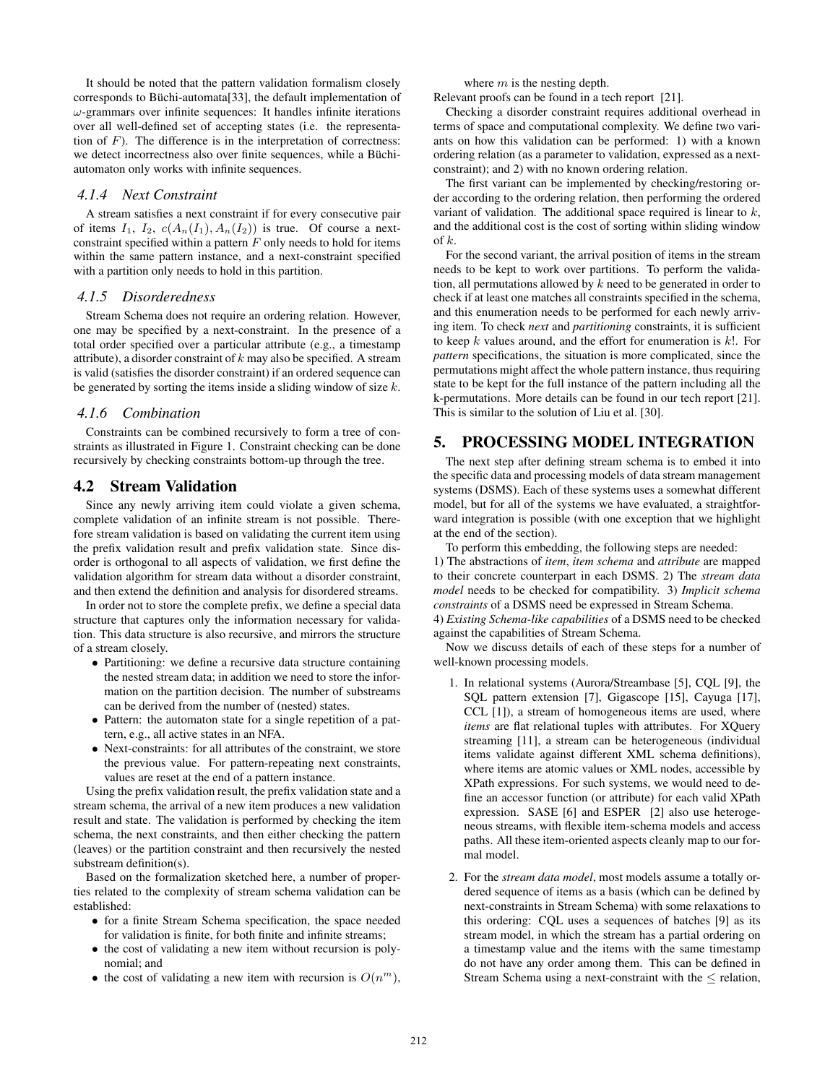It should be noted that the pattern validation formalism closely corresponds to Büchi-automata[33], the default implementation of  $\omega$ -grammars over infinite sequences: It handles infinite iterations over all well-defined set of accepting states (i.e. the representation of  $F$ ). The difference is in the interpretation of correctness: we detect incorrectness also over finite sequences, while a Büchiautomaton only works with infinite sequences.

#### *4.1.4 Next Constraint*

A stream satisfies a next constraint if for every consecutive pair of items  $I_1$ ,  $I_2$ ,  $c(A_n(I_1), A_n(I_2))$  is true. Of course a nextconstraint specified within a pattern  $F$  only needs to hold for items within the same pattern instance, and a next-constraint specified with a partition only needs to hold in this partition.

#### *4.1.5 Disorderedness*

Stream Schema does not require an ordering relation. However, one may be specified by a next-constraint. In the presence of a total order specified over a particular attribute (e.g., a timestamp attribute), a disorder constraint of  $k$  may also be specified. A stream is valid (satisfies the disorder constraint) if an ordered sequence can be generated by sorting the items inside a sliding window of size  $k$ .

#### *4.1.6 Combination*

Constraints can be combined recursively to form a tree of constraints as illustrated in Figure 1. Constraint checking can be done recursively by checking constraints bottom-up through the tree.

#### 4.2 Stream Validation

Since any newly arriving item could violate a given schema, complete validation of an infinite stream is not possible. Therefore stream validation is based on validating the current item using the prefix validation result and prefix validation state. Since disorder is orthogonal to all aspects of validation, we first define the validation algorithm for stream data without a disorder constraint, and then extend the definition and analysis for disordered streams.

In order not to store the complete prefix, we define a special data structure that captures only the information necessary for validation. This data structure is also recursive, and mirrors the structure of a stream closely.

- Partitioning: we define a recursive data structure containing the nested stream data; in addition we need to store the information on the partition decision. The number of substreams can be derived from the number of (nested) states.
- Pattern: the automaton state for a single repetition of a pattern, e.g., all active states in an NFA.
- Next-constraints: for all attributes of the constraint, we store the previous value. For pattern-repeating next constraints, values are reset at the end of a pattern instance.

Using the prefix validation result, the prefix validation state and a stream schema, the arrival of a new item produces a new validation result and state. The validation is performed by checking the item schema, the next constraints, and then either checking the pattern (leaves) or the partition constraint and then recursively the nested substream definition(s).

Based on the formalization sketched here, a number of properties related to the complexity of stream schema validation can be established:

- for a finite Stream Schema specification, the space needed for validation is finite, for both finite and infinite streams;
- the cost of validating a new item without recursion is polynomial; and
- the cost of validating a new item with recursion is  $O(n^m)$ ,

where  $m$  is the nesting depth.

Relevant proofs can be found in a tech report [21].

Checking a disorder constraint requires additional overhead in terms of space and computational complexity. We define two variants on how this validation can be performed: 1) with a known ordering relation (as a parameter to validation, expressed as a nextconstraint); and 2) with no known ordering relation.

The first variant can be implemented by checking/restoring order according to the ordering relation, then performing the ordered variant of validation. The additional space required is linear to k, and the additional cost is the cost of sorting within sliding window of k.

For the second variant, the arrival position of items in the stream needs to be kept to work over partitions. To perform the validation, all permutations allowed by  $k$  need to be generated in order to check if at least one matches all constraints specified in the schema, and this enumeration needs to be performed for each newly arriving item. To check *next* and *partitioning* constraints, it is sufficient to keep  $k$  values around, and the effort for enumeration is  $k!$ . For *pattern* specifications, the situation is more complicated, since the permutations might affect the whole pattern instance, thus requiring state to be kept for the full instance of the pattern including all the k-permutations. More details can be found in our tech report [21]. This is similar to the solution of Liu et al. [30].

#### 5. PROCESSING MODEL INTEGRATION

The next step after defining stream schema is to embed it into the specific data and processing models of data stream management systems (DSMS). Each of these systems uses a somewhat different model, but for all of the systems we have evaluated, a straightforward integration is possible (with one exception that we highlight at the end of the section).

To perform this embedding, the following steps are needed:

1) The abstractions of *item*, *item schema* and *attribute* are mapped to their concrete counterpart in each DSMS. 2) The *stream data model* needs to be checked for compatibility. 3) *Implicit schema constraints* of a DSMS need be expressed in Stream Schema.

4) *Existing Schema-like capabilities* of a DSMS need to be checked against the capabilities of Stream Schema.

Now we discuss details of each of these steps for a number of well-known processing models.

- 1. In relational systems (Aurora/Streambase [5], CQL [9], the SQL pattern extension [7], Gigascope [15], Cayuga [17], CCL [1]), a stream of homogeneous items are used, where *items* are flat relational tuples with attributes. For XQuery streaming [11], a stream can be heterogeneous (individual items validate against different XML schema definitions), where items are atomic values or XML nodes, accessible by XPath expressions. For such systems, we would need to define an accessor function (or attribute) for each valid XPath expression. SASE [6] and ESPER [2] also use heterogeneous streams, with flexible item-schema models and access paths. All these item-oriented aspects cleanly map to our formal model.
- 2. For the *stream data model*, most models assume a totally ordered sequence of items as a basis (which can be defined by next-constraints in Stream Schema) with some relaxations to this ordering: CQL uses a sequences of batches [9] as its stream model, in which the stream has a partial ordering on a timestamp value and the items with the same timestamp do not have any order among them. This can be defined in Stream Schema using a next-constraint with the  $\leq$  relation,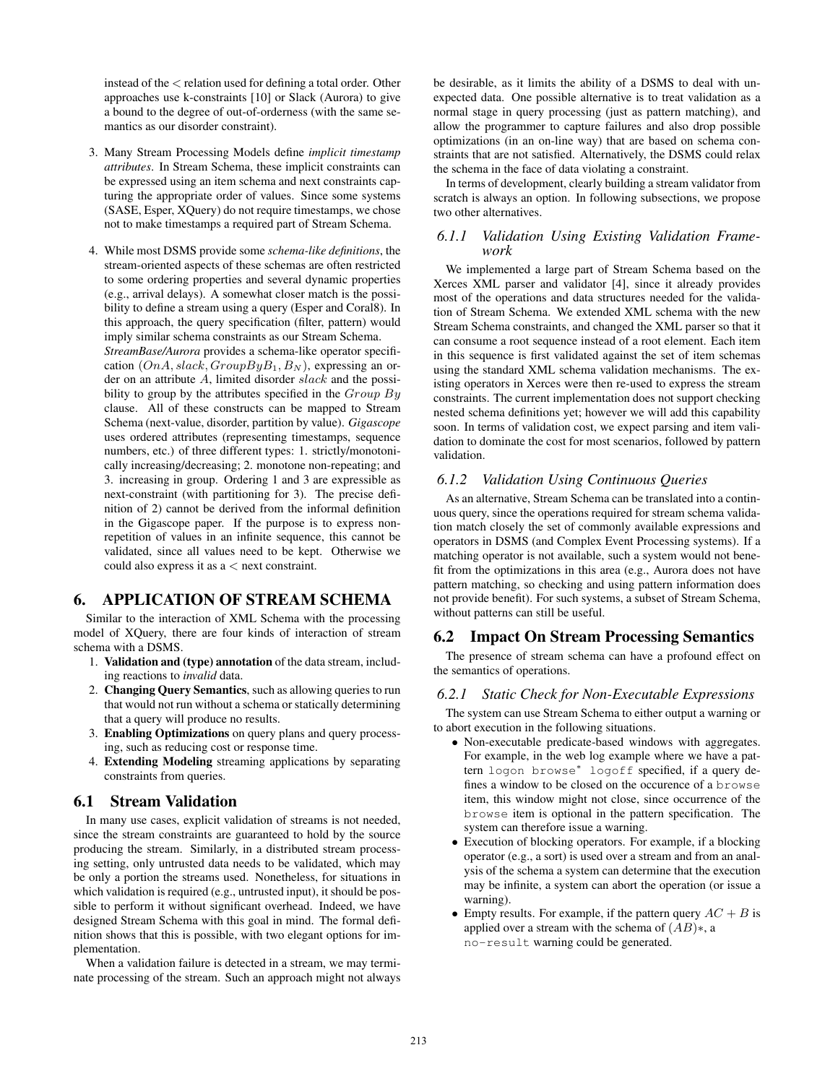instead of the < relation used for defining a total order. Other approaches use k-constraints [10] or Slack (Aurora) to give a bound to the degree of out-of-orderness (with the same semantics as our disorder constraint).

- 3. Many Stream Processing Models define *implicit timestamp attributes*. In Stream Schema, these implicit constraints can be expressed using an item schema and next constraints capturing the appropriate order of values. Since some systems (SASE, Esper, XQuery) do not require timestamps, we chose not to make timestamps a required part of Stream Schema.
- 4. While most DSMS provide some *schema-like definitions*, the stream-oriented aspects of these schemas are often restricted to some ordering properties and several dynamic properties (e.g., arrival delays). A somewhat closer match is the possibility to define a stream using a query (Esper and Coral8). In this approach, the query specification (filter, pattern) would imply similar schema constraints as our Stream Schema. *StreamBase/Aurora* provides a schema-like operator specification  $(OnA, slack, GroupByB<sub>1</sub>, B<sub>N</sub>)$ , expressing an order on an attribute A, limited disorder slack and the possibility to group by the attributes specified in the Group By clause. All of these constructs can be mapped to Stream Schema (next-value, disorder, partition by value). *Gigascope* uses ordered attributes (representing timestamps, sequence numbers, etc.) of three different types: 1. strictly/monotonically increasing/decreasing; 2. monotone non-repeating; and 3. increasing in group. Ordering 1 and 3 are expressible as next-constraint (with partitioning for 3). The precise definition of 2) cannot be derived from the informal definition in the Gigascope paper. If the purpose is to express nonrepetition of values in an infinite sequence, this cannot be validated, since all values need to be kept. Otherwise we could also express it as a < next constraint.

# 6. APPLICATION OF STREAM SCHEMA

Similar to the interaction of XML Schema with the processing model of XQuery, there are four kinds of interaction of stream schema with a DSMS.

- 1. Validation and (type) annotation of the data stream, including reactions to *invalid* data.
- 2. Changing Query Semantics, such as allowing queries to run that would not run without a schema or statically determining that a query will produce no results.
- 3. Enabling Optimizations on query plans and query processing, such as reducing cost or response time.
- 4. Extending Modeling streaming applications by separating constraints from queries.

#### 6.1 Stream Validation

In many use cases, explicit validation of streams is not needed, since the stream constraints are guaranteed to hold by the source producing the stream. Similarly, in a distributed stream processing setting, only untrusted data needs to be validated, which may be only a portion the streams used. Nonetheless, for situations in which validation is required (e.g., untrusted input), it should be possible to perform it without significant overhead. Indeed, we have designed Stream Schema with this goal in mind. The formal definition shows that this is possible, with two elegant options for implementation.

When a validation failure is detected in a stream, we may terminate processing of the stream. Such an approach might not always be desirable, as it limits the ability of a DSMS to deal with unexpected data. One possible alternative is to treat validation as a normal stage in query processing (just as pattern matching), and allow the programmer to capture failures and also drop possible optimizations (in an on-line way) that are based on schema constraints that are not satisfied. Alternatively, the DSMS could relax the schema in the face of data violating a constraint.

In terms of development, clearly building a stream validator from scratch is always an option. In following subsections, we propose two other alternatives.

#### *6.1.1 Validation Using Existing Validation Framework*

We implemented a large part of Stream Schema based on the Xerces XML parser and validator [4], since it already provides most of the operations and data structures needed for the validation of Stream Schema. We extended XML schema with the new Stream Schema constraints, and changed the XML parser so that it can consume a root sequence instead of a root element. Each item in this sequence is first validated against the set of item schemas using the standard XML schema validation mechanisms. The existing operators in Xerces were then re-used to express the stream constraints. The current implementation does not support checking nested schema definitions yet; however we will add this capability soon. In terms of validation cost, we expect parsing and item validation to dominate the cost for most scenarios, followed by pattern validation.

#### *6.1.2 Validation Using Continuous Queries*

As an alternative, Stream Schema can be translated into a continuous query, since the operations required for stream schema validation match closely the set of commonly available expressions and operators in DSMS (and Complex Event Processing systems). If a matching operator is not available, such a system would not benefit from the optimizations in this area (e.g., Aurora does not have pattern matching, so checking and using pattern information does not provide benefit). For such systems, a subset of Stream Schema, without patterns can still be useful.

# 6.2 Impact On Stream Processing Semantics

The presence of stream schema can have a profound effect on the semantics of operations.

#### *6.2.1 Static Check for Non-Executable Expressions*

The system can use Stream Schema to either output a warning or to abort execution in the following situations.

- Non-executable predicate-based windows with aggregates. For example, in the web log example where we have a pattern logon browse<sup>∗</sup> logoff specified, if a query defines a window to be closed on the occurence of a browse item, this window might not close, since occurrence of the browse item is optional in the pattern specification. The system can therefore issue a warning.
- Execution of blocking operators. For example, if a blocking operator (e.g., a sort) is used over a stream and from an analysis of the schema a system can determine that the execution may be infinite, a system can abort the operation (or issue a warning).
- Empty results. For example, if the pattern query  $AC + B$  is applied over a stream with the schema of  $(AB)$ ∗, a no-result warning could be generated.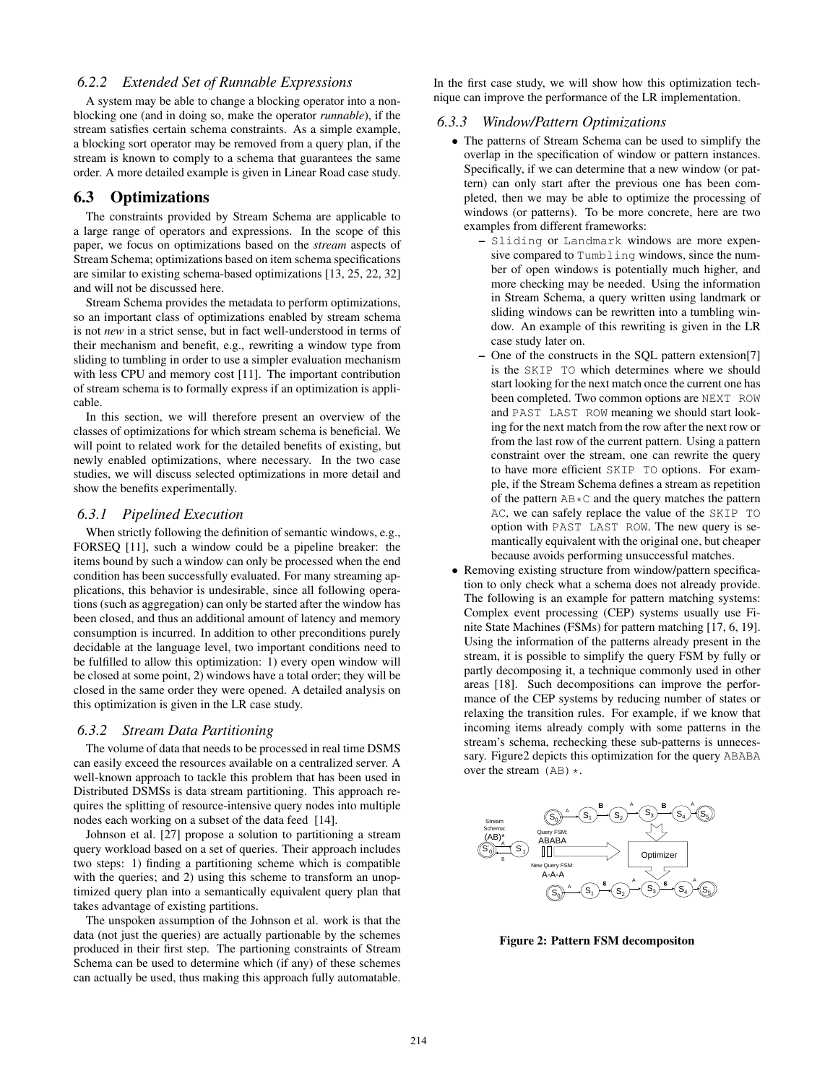## *6.2.2 Extended Set of Runnable Expressions*

A system may be able to change a blocking operator into a nonblocking one (and in doing so, make the operator *runnable*), if the stream satisfies certain schema constraints. As a simple example, a blocking sort operator may be removed from a query plan, if the stream is known to comply to a schema that guarantees the same order. A more detailed example is given in Linear Road case study.

#### 6.3 Optimizations

The constraints provided by Stream Schema are applicable to a large range of operators and expressions. In the scope of this paper, we focus on optimizations based on the *stream* aspects of Stream Schema; optimizations based on item schema specifications are similar to existing schema-based optimizations [13, 25, 22, 32] and will not be discussed here.

Stream Schema provides the metadata to perform optimizations, so an important class of optimizations enabled by stream schema is not *new* in a strict sense, but in fact well-understood in terms of their mechanism and benefit, e.g., rewriting a window type from sliding to tumbling in order to use a simpler evaluation mechanism with less CPU and memory cost [11]. The important contribution of stream schema is to formally express if an optimization is applicable.

In this section, we will therefore present an overview of the classes of optimizations for which stream schema is beneficial. We will point to related work for the detailed benefits of existing, but newly enabled optimizations, where necessary. In the two case studies, we will discuss selected optimizations in more detail and show the benefits experimentally.

#### *6.3.1 Pipelined Execution*

When strictly following the definition of semantic windows, e.g., FORSEQ [11], such a window could be a pipeline breaker: the items bound by such a window can only be processed when the end condition has been successfully evaluated. For many streaming applications, this behavior is undesirable, since all following operations (such as aggregation) can only be started after the window has been closed, and thus an additional amount of latency and memory consumption is incurred. In addition to other preconditions purely decidable at the language level, two important conditions need to be fulfilled to allow this optimization: 1) every open window will be closed at some point, 2) windows have a total order; they will be closed in the same order they were opened. A detailed analysis on this optimization is given in the LR case study.

#### *6.3.2 Stream Data Partitioning*

The volume of data that needs to be processed in real time DSMS can easily exceed the resources available on a centralized server. A well-known approach to tackle this problem that has been used in Distributed DSMSs is data stream partitioning. This approach requires the splitting of resource-intensive query nodes into multiple nodes each working on a subset of the data feed [14].

Johnson et al. [27] propose a solution to partitioning a stream query workload based on a set of queries. Their approach includes two steps: 1) finding a partitioning scheme which is compatible with the queries; and 2) using this scheme to transform an unoptimized query plan into a semantically equivalent query plan that takes advantage of existing partitions.

The unspoken assumption of the Johnson et al. work is that the data (not just the queries) are actually partionable by the schemes produced in their first step. The partioning constraints of Stream Schema can be used to determine which (if any) of these schemes can actually be used, thus making this approach fully automatable.

In the first case study, we will show how this optimization technique can improve the performance of the LR implementation.

#### *6.3.3 Window/Pattern Optimizations*

- The patterns of Stream Schema can be used to simplify the overlap in the specification of window or pattern instances. Specifically, if we can determine that a new window (or pattern) can only start after the previous one has been completed, then we may be able to optimize the processing of windows (or patterns). To be more concrete, here are two examples from different frameworks:
	- Sliding or Landmark windows are more expensive compared to Tumbling windows, since the number of open windows is potentially much higher, and more checking may be needed. Using the information in Stream Schema, a query written using landmark or sliding windows can be rewritten into a tumbling window. An example of this rewriting is given in the LR case study later on.
	- One of the constructs in the SQL pattern extension[7] is the SKIP TO which determines where we should start looking for the next match once the current one has been completed. Two common options are NEXT ROW and PAST LAST ROW meaning we should start looking for the next match from the row after the next row or from the last row of the current pattern. Using a pattern constraint over the stream, one can rewrite the query to have more efficient SKIP TO options. For example, if the Stream Schema defines a stream as repetition of the pattern  $AB*C$  and the query matches the pattern AC, we can safely replace the value of the SKIP TO option with PAST LAST ROW. The new query is semantically equivalent with the original one, but cheaper because avoids performing unsuccessful matches.
- Removing existing structure from window/pattern specification to only check what a schema does not already provide. The following is an example for pattern matching systems: Complex event processing (CEP) systems usually use Finite State Machines (FSMs) for pattern matching [17, 6, 19]. Using the information of the patterns already present in the stream, it is possible to simplify the query FSM by fully or partly decomposing it, a technique commonly used in other areas [18]. Such decompositions can improve the performance of the CEP systems by reducing number of states or relaxing the transition rules. For example, if we know that incoming items already comply with some patterns in the stream's schema, rechecking these sub-patterns is unnecessary. Figure2 depicts this optimization for the query ABABA over the stream  $(AB) *$ .



Figure 2: Pattern FSM decompositon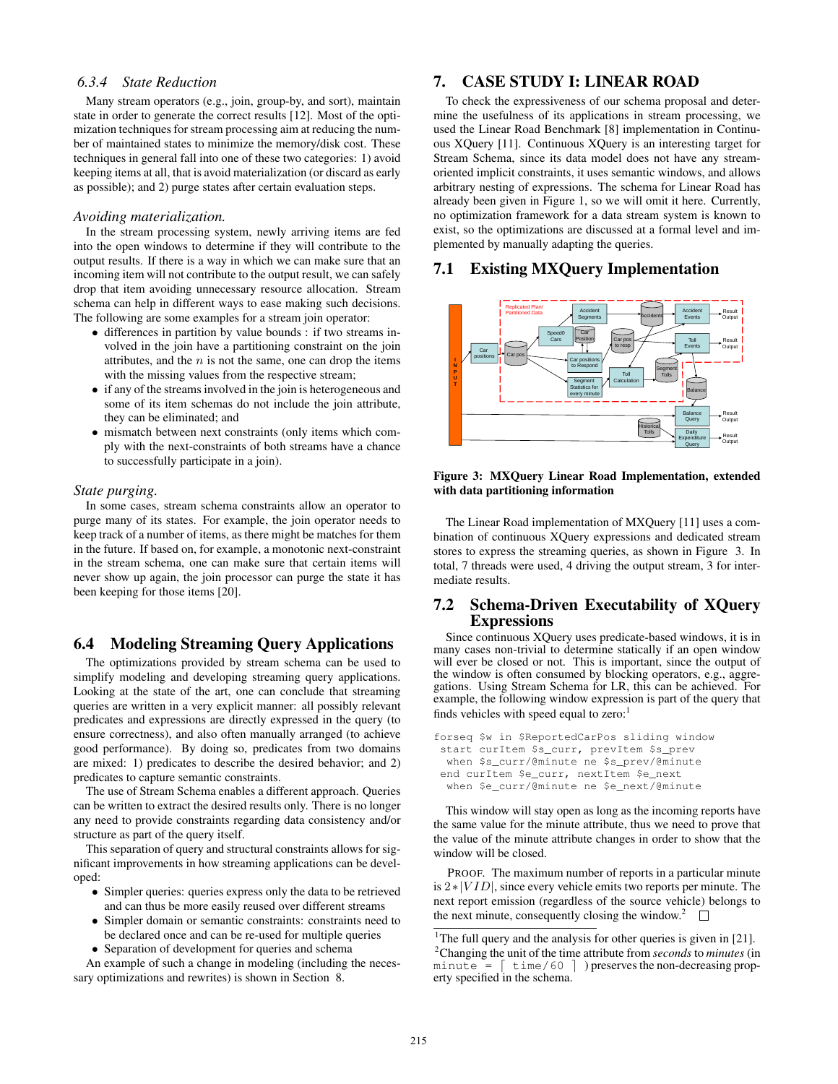#### *6.3.4 State Reduction*

Many stream operators (e.g., join, group-by, and sort), maintain state in order to generate the correct results [12]. Most of the optimization techniques for stream processing aim at reducing the number of maintained states to minimize the memory/disk cost. These techniques in general fall into one of these two categories: 1) avoid keeping items at all, that is avoid materialization (or discard as early as possible); and 2) purge states after certain evaluation steps.

#### *Avoiding materialization.*

In the stream processing system, newly arriving items are fed into the open windows to determine if they will contribute to the output results. If there is a way in which we can make sure that an incoming item will not contribute to the output result, we can safely drop that item avoiding unnecessary resource allocation. Stream schema can help in different ways to ease making such decisions. The following are some examples for a stream join operator:

- differences in partition by value bounds : if two streams involved in the join have a partitioning constraint on the join attributes, and the  $n$  is not the same, one can drop the items with the missing values from the respective stream;
- if any of the streams involved in the join is heterogeneous and some of its item schemas do not include the join attribute, they can be eliminated; and
- mismatch between next constraints (only items which comply with the next-constraints of both streams have a chance to successfully participate in a join).

#### *State purging.*

In some cases, stream schema constraints allow an operator to purge many of its states. For example, the join operator needs to keep track of a number of items, as there might be matches for them in the future. If based on, for example, a monotonic next-constraint in the stream schema, one can make sure that certain items will never show up again, the join processor can purge the state it has been keeping for those items [20].

# 6.4 Modeling Streaming Query Applications

The optimizations provided by stream schema can be used to simplify modeling and developing streaming query applications. Looking at the state of the art, one can conclude that streaming queries are written in a very explicit manner: all possibly relevant predicates and expressions are directly expressed in the query (to ensure correctness), and also often manually arranged (to achieve good performance). By doing so, predicates from two domains are mixed: 1) predicates to describe the desired behavior; and 2) predicates to capture semantic constraints.

The use of Stream Schema enables a different approach. Queries can be written to extract the desired results only. There is no longer any need to provide constraints regarding data consistency and/or structure as part of the query itself.

This separation of query and structural constraints allows for significant improvements in how streaming applications can be developed:

- Simpler queries: queries express only the data to be retrieved and can thus be more easily reused over different streams
- Simpler domain or semantic constraints: constraints need to be declared once and can be re-used for multiple queries • Separation of development for queries and schema

An example of such a change in modeling (including the necessary optimizations and rewrites) is shown in Section 8.

# 7. CASE STUDY I: LINEAR ROAD

To check the expressiveness of our schema proposal and determine the usefulness of its applications in stream processing, we used the Linear Road Benchmark [8] implementation in Continuous XQuery [11]. Continuous XQuery is an interesting target for Stream Schema, since its data model does not have any streamoriented implicit constraints, it uses semantic windows, and allows arbitrary nesting of expressions. The schema for Linear Road has already been given in Figure 1, so we will omit it here. Currently, no optimization framework for a data stream system is known to exist, so the optimizations are discussed at a formal level and implemented by manually adapting the queries.

#### 7.1 Existing MXQuery Implementation



#### Figure 3: MXQuery Linear Road Implementation, extended with data partitioning information

The Linear Road implementation of MXQuery [11] uses a combination of continuous XQuery expressions and dedicated stream stores to express the streaming queries, as shown in Figure 3. In total, 7 threads were used, 4 driving the output stream, 3 for intermediate results.

# 7.2 Schema-Driven Executability of XQuery **Expressions**

Since continuous XQuery uses predicate-based windows, it is in many cases non-trivial to determine statically if an open window will ever be closed or not. This is important, since the output of the window is often consumed by blocking operators, e.g., aggregations. Using Stream Schema for LR, this can be achieved. For example, the following window expression is part of the query that finds vehicles with speed equal to zero:<sup>1</sup>

```
forseq $w in $ReportedCarPos sliding window
start curItem $s_curr, prevItem $s_prev
 when $s_curr/@minute ne $s_prev/@minute
end curItem $e_curr, nextItem $e_next
 when $e_curr/@minute ne $e_next/@minute
```
This window will stay open as long as the incoming reports have the same value for the minute attribute, thus we need to prove that the value of the minute attribute changes in order to show that the window will be closed.

PROOF. The maximum number of reports in a particular minute is 2∗|V ID|, since every vehicle emits two reports per minute. The next report emission (regardless of the source vehicle) belongs to the next minute, consequently closing the window.<sup>2</sup>  $\Box$ 

<sup>&</sup>lt;sup>1</sup>The full query and the analysis for other queries is given in [21]. <sup>2</sup>Changing the unit of the time attribute from *seconds* to *minutes* (in minute  $=$  [ time/60 ] ) preserves the non-decreasing property specified in the schema.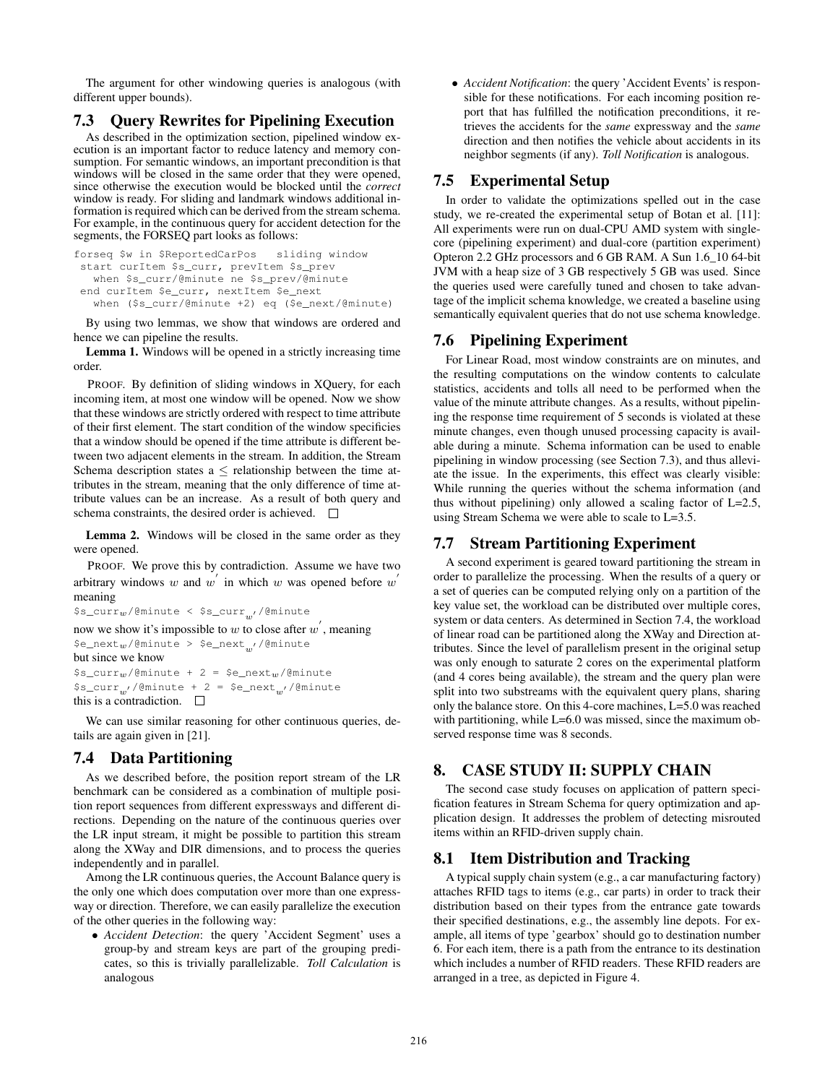The argument for other windowing queries is analogous (with different upper bounds).

# 7.3 Query Rewrites for Pipelining Execution

As described in the optimization section, pipelined window execution is an important factor to reduce latency and memory consumption. For semantic windows, an important precondition is that windows will be closed in the same order that they were opened, since otherwise the execution would be blocked until the *correct* window is ready. For sliding and landmark windows additional information is required which can be derived from the stream schema. For example, in the continuous query for accident detection for the segments, the FORSEQ part looks as follows:

```
forseq $w in $ReportedCarPos sliding window
start curItem $s_curr, prevItem $s_prev
  when $s_curr/@minute ne $s_prev/@minute
end curItem $e_curr, nextItem $e_next
  when ($s_curr/@minute +2) eq ($e_next/@minute)
```
By using two lemmas, we show that windows are ordered and hence we can pipeline the results.

Lemma 1. Windows will be opened in a strictly increasing time order.

PROOF. By definition of sliding windows in XQuery, for each incoming item, at most one window will be opened. Now we show that these windows are strictly ordered with respect to time attribute of their first element. The start condition of the window specificies that a window should be opened if the time attribute is different between two adjacent elements in the stream. In addition, the Stream Schema description states  $a \leq$  relationship between the time attributes in the stream, meaning that the only difference of time attribute values can be an increase. As a result of both query and schema constraints, the desired order is achieved.  $\Box$ 

Lemma 2. Windows will be closed in the same order as they were opened.

PROOF. We prove this by contradiction. Assume we have two arbitrary windows w and w in which w was opened before w meaning

```
\frac{\xi_{\text{S}}}{w'}/@minute < \frac{\xi_{\text{S}}}{w'}/@minute
```
now we show it's impossible to w to close after  $w'$ , meaning  $\texttt{\$e\_next$w/@minute~>~$e\_next$w/@minute}$ but since we know  $s_{s\_curr_w}/@minute + 2 = §e_{next_w}/@minute$  $s_{\texttt{sc}}$ curr<sub>w</sub>,/@minute + 2 = \$e\_next<sub>w</sub>,/@minute this is a contradiction.  $\square$ 

We can use similar reasoning for other continuous queries, details are again given in [21].

# 7.4 Data Partitioning

As we described before, the position report stream of the LR benchmark can be considered as a combination of multiple position report sequences from different expressways and different directions. Depending on the nature of the continuous queries over the LR input stream, it might be possible to partition this stream along the XWay and DIR dimensions, and to process the queries independently and in parallel.

Among the LR continuous queries, the Account Balance query is the only one which does computation over more than one expressway or direction. Therefore, we can easily parallelize the execution of the other queries in the following way:

• *Accident Detection*: the query 'Accident Segment' uses a group-by and stream keys are part of the grouping predicates, so this is trivially parallelizable. *Toll Calculation* is analogous

• *Accident Notification*: the query 'Accident Events' is responsible for these notifications. For each incoming position report that has fulfilled the notification preconditions, it retrieves the accidents for the *same* expressway and the *same* direction and then notifies the vehicle about accidents in its neighbor segments (if any). *Toll Notification* is analogous.

# 7.5 Experimental Setup

In order to validate the optimizations spelled out in the case study, we re-created the experimental setup of Botan et al. [11]: All experiments were run on dual-CPU AMD system with singlecore (pipelining experiment) and dual-core (partition experiment) Opteron 2.2 GHz processors and 6 GB RAM. A Sun 1.6\_10 64-bit JVM with a heap size of 3 GB respectively 5 GB was used. Since the queries used were carefully tuned and chosen to take advantage of the implicit schema knowledge, we created a baseline using semantically equivalent queries that do not use schema knowledge.

# 7.6 Pipelining Experiment

For Linear Road, most window constraints are on minutes, and the resulting computations on the window contents to calculate statistics, accidents and tolls all need to be performed when the value of the minute attribute changes. As a results, without pipelining the response time requirement of 5 seconds is violated at these minute changes, even though unused processing capacity is available during a minute. Schema information can be used to enable pipelining in window processing (see Section 7.3), and thus alleviate the issue. In the experiments, this effect was clearly visible: While running the queries without the schema information (and thus without pipelining) only allowed a scaling factor of L=2.5, using Stream Schema we were able to scale to L=3.5.

# 7.7 Stream Partitioning Experiment

A second experiment is geared toward partitioning the stream in order to parallelize the processing. When the results of a query or a set of queries can be computed relying only on a partition of the key value set, the workload can be distributed over multiple cores, system or data centers. As determined in Section 7.4, the workload of linear road can be partitioned along the XWay and Direction attributes. Since the level of parallelism present in the original setup was only enough to saturate 2 cores on the experimental platform (and 4 cores being available), the stream and the query plan were split into two substreams with the equivalent query plans, sharing only the balance store. On this 4-core machines, L=5.0 was reached with partitioning, while L=6.0 was missed, since the maximum observed response time was 8 seconds.

# 8. CASE STUDY II: SUPPLY CHAIN

The second case study focuses on application of pattern specification features in Stream Schema for query optimization and application design. It addresses the problem of detecting misrouted items within an RFID-driven supply chain.

# 8.1 Item Distribution and Tracking

A typical supply chain system (e.g., a car manufacturing factory) attaches RFID tags to items (e.g., car parts) in order to track their distribution based on their types from the entrance gate towards their specified destinations, e.g., the assembly line depots. For example, all items of type 'gearbox' should go to destination number 6. For each item, there is a path from the entrance to its destination which includes a number of RFID readers. These RFID readers are arranged in a tree, as depicted in Figure 4.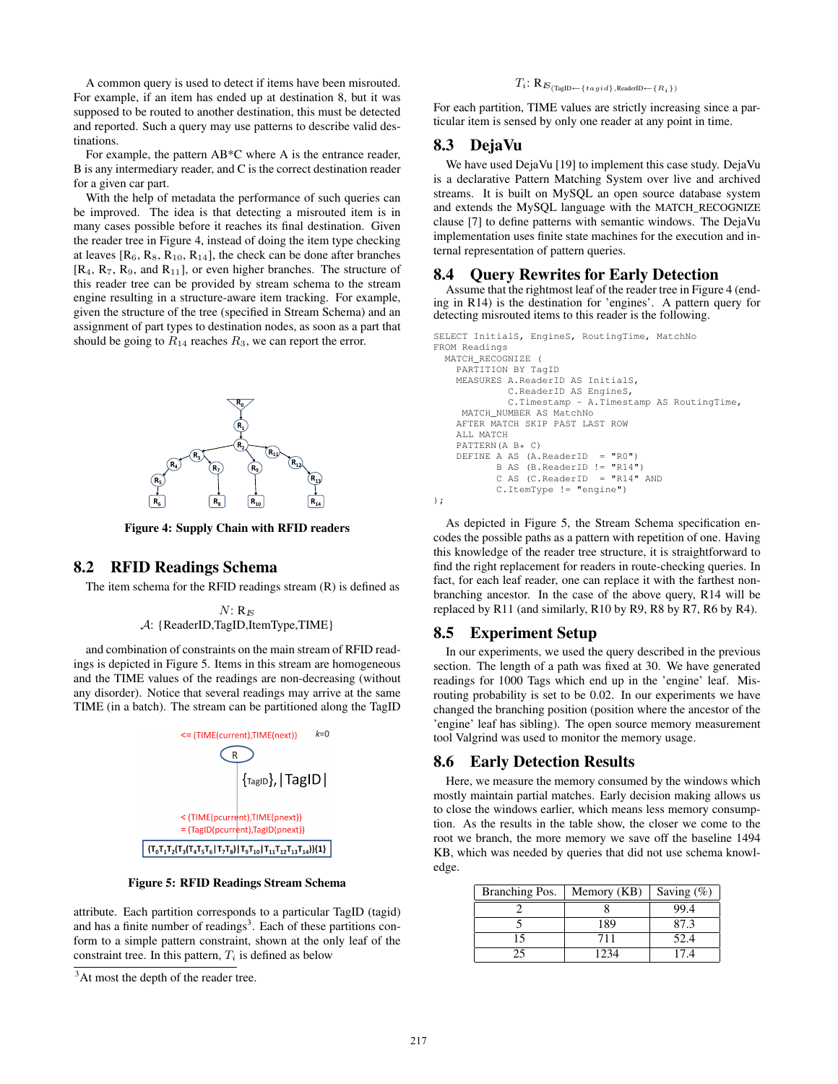A common query is used to detect if items have been misrouted. For example, if an item has ended up at destination 8, but it was supposed to be routed to another destination, this must be detected and reported. Such a query may use patterns to describe valid destinations.

For example, the pattern AB\*C where A is the entrance reader, B is any intermediary reader, and C is the correct destination reader for a given car part.

With the help of metadata the performance of such queries can be improved. The idea is that detecting a misrouted item is in many cases possible before it reaches its final destination. Given the reader tree in Figure 4, instead of doing the item type checking at leaves  $[R_6, R_8, R_{10}, R_{14}]$ , the check can be done after branches  $[R_4, R_7, R_9, \text{ and } R_{11}]$ , or even higher branches. The structure of this reader tree can be provided by stream schema to the stream engine resulting in a structure-aware item tracking. For example, given the structure of the tree (specified in Stream Schema) and an assignment of part types to destination nodes, as soon as a part that should be going to  $R_{14}$  reaches  $R_3$ , we can report the error.



Figure 4: Supply Chain with RFID readers

### 8.2 RFID Readings Schema

The item schema for the RFID readings stream (R) is defined as

$$
N: R_E
$$
  
 $A: {ReaderID, TagID, ItemType, TIME}$ 

and combination of constraints on the main stream of RFID readings is depicted in Figure 5. Items in this stream are homogeneous and the TIME values of the readings are non-decreasing (without any disorder). Notice that several readings may arrive at the same TIME (in a batch). The stream can be partitioned along the TagID



Figure 5: RFID Readings Stream Schema

attribute. Each partition corresponds to a particular TagID (tagid) and has a finite number of readings<sup>3</sup>. Each of these partitions conform to a simple pattern constraint, shown at the only leaf of the constraint tree. In this pattern,  $T_i$  is defined as below

# $T_i\text{: }\mathbf{R}_{\text{$E$}}_{\text{(TagID}\leftarrow\text{\{}~tag~id\text{)},\text{ReaderID}\leftarrow\text{\{}~R_i\text{}\text{)}}}$

For each partition, TIME values are strictly increasing since a particular item is sensed by only one reader at any point in time.

#### 8.3 DejaVu

We have used DejaVu [19] to implement this case study. DejaVu is a declarative Pattern Matching System over live and archived streams. It is built on MySQL an open source database system and extends the MySQL language with the MATCH\_RECOGNIZE clause [7] to define patterns with semantic windows. The DejaVu implementation uses finite state machines for the execution and internal representation of pattern queries.

# 8.4 Query Rewrites for Early Detection

Assume that the rightmost leaf of the reader tree in Figure 4 (ending in R14) is the destination for 'engines'. A pattern query for detecting misrouted items to this reader is the following.

```
SELECT InitialS, EngineS, RoutingTime, MatchNo
FROM Readings
```

```
MATCH_RECOGNIZE (
    PARTITION BY TagID
    MEASURES A.ReaderID AS InitialS,
             C.ReaderID AS EngineS,
              C.Timestamp - A.Timestamp AS RoutingTime,
     MATCH_NUMBER AS MatchNo
    AFTER MATCH SKIP PAST LAST ROW
    ALL MATCH
    PATTERN(A B* C)
    DEFINE A AS (A \cdot \text{ReaderID} = "R0")B AS (B.ReaderID != "R14")
            C AS (C \texttt{.ReaderID} = "R14" AND
            C.ItemType != "engine")
);
```
As depicted in Figure 5, the Stream Schema specification encodes the possible paths as a pattern with repetition of one. Having this knowledge of the reader tree structure, it is straightforward to find the right replacement for readers in route-checking queries. In fact, for each leaf reader, one can replace it with the farthest nonbranching ancestor. In the case of the above query, R14 will be replaced by R11 (and similarly, R10 by R9, R8 by R7, R6 by R4).

### 8.5 Experiment Setup

In our experiments, we used the query described in the previous section. The length of a path was fixed at 30. We have generated readings for 1000 Tags which end up in the 'engine' leaf. Misrouting probability is set to be 0.02. In our experiments we have changed the branching position (position where the ancestor of the 'engine' leaf has sibling). The open source memory measurement tool Valgrind was used to monitor the memory usage.

#### 8.6 Early Detection Results

Here, we measure the memory consumed by the windows which mostly maintain partial matches. Early decision making allows us to close the windows earlier, which means less memory consumption. As the results in the table show, the closer we come to the root we branch, the more memory we save off the baseline 1494 KB, which was needed by queries that did not use schema knowledge.

| Branching Pos. | Memory (KB) | Saving $(\%)$ |
|----------------|-------------|---------------|
|                |             | 99.4          |
|                | 189         | 87.3          |
|                | 711         | 52.4          |
|                | 1234        | 17.4          |

<sup>&</sup>lt;sup>3</sup>At most the depth of the reader tree.